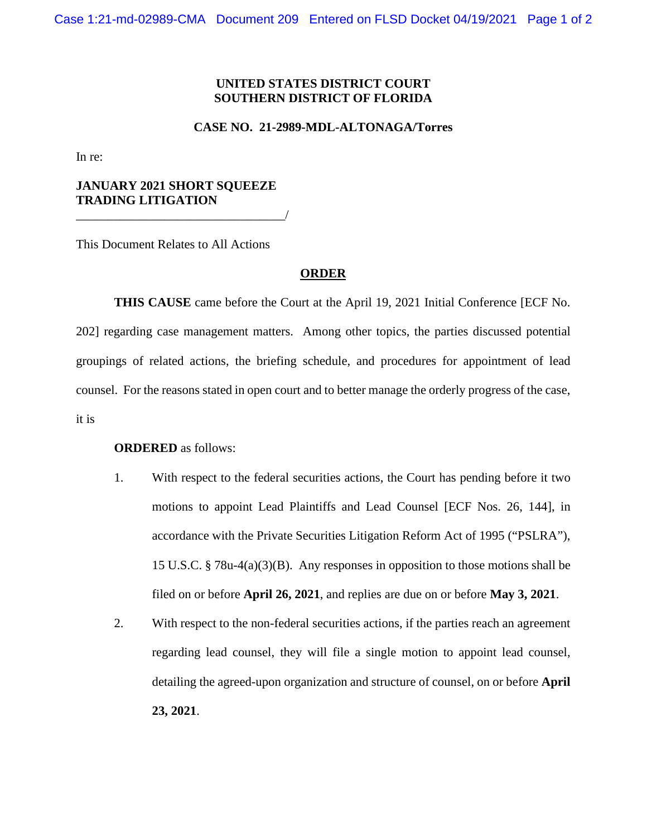## **UNITED STATES DISTRICT COURT SOUTHERN DISTRICT OF FLORIDA**

#### **CASE NO. 21-2989-MDL-ALTONAGA/Torres**

In re:

# **JANUARY 2021 SHORT SQUEEZE TRADING LITIGATION**

\_\_\_\_\_\_\_\_\_\_\_\_\_\_\_\_\_\_\_\_\_\_\_\_\_\_\_\_\_\_\_\_\_/

This Document Relates to All Actions

### **ORDER**

**THIS CAUSE** came before the Court at the April 19, 2021 Initial Conference [ECF No. 202] regarding case management matters. Among other topics, the parties discussed potential groupings of related actions, the briefing schedule, and procedures for appointment of lead counsel. For the reasons stated in open court and to better manage the orderly progress of the case, it is

### **ORDERED** as follows:

- 1. With respect to the federal securities actions, the Court has pending before it two motions to appoint Lead Plaintiffs and Lead Counsel [ECF Nos. 26, 144], in accordance with the Private Securities Litigation Reform Act of 1995 ("PSLRA"), 15 U.S.C. § 78u-4(a)(3)(B). Any responses in opposition to those motions shall be filed on or before **April 26, 2021**, and replies are due on or before **May 3, 2021**.
- 2. With respect to the non-federal securities actions, if the parties reach an agreement regarding lead counsel, they will file a single motion to appoint lead counsel, detailing the agreed-upon organization and structure of counsel, on or before **April 23, 2021**.